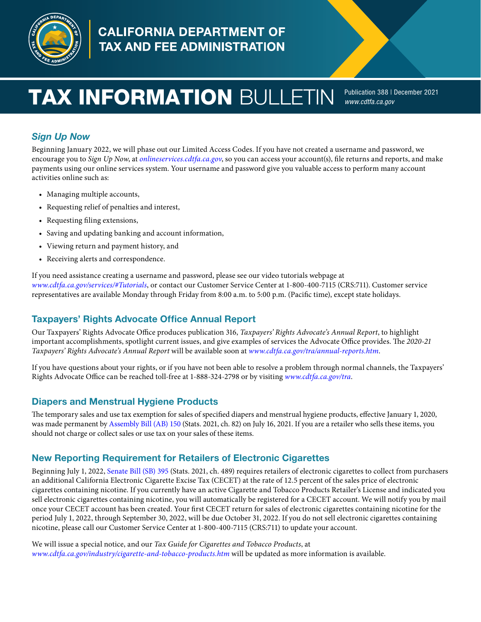

# **CALIFORNIA DEPARTMENT OF** TAX AND FEE ADMINISTRATION

# **TAX INFORMATION** BULLETIN Publication 388 | December 2021

*[www.cdtfa.ca.gov](http://www.cdtfa.ca.gov)*

# *Sign Up Now*

Beginning January 2022, we will phase out our Limited Access Codes. If you have not created a username and password, we encourage you to *Sign Up Now*, at *[onlineservices.cdtfa.ca.gov](https://onlineservices.cdtfa.ca.gov/)*, so you can access your account(s), fle returns and reports, and make payments using our online services system. Your username and password give you valuable access to perform many account activities online such as:

- Managing multiple accounts,
- Requesting relief of penalties and interest,
- Requesting fling extensions,
- Saving and updating banking and account information,
- Viewing return and payment history, and
- Receiving alerts and correspondence.

If you need assistance creating a username and password, please see our video tutorials webpage at *[www.cdtfa.ca.gov/services/#Tutorials](http://www.cdtfa.ca.gov/services/#Tutorials)*, or contact our Customer Service Center at 1-800-400-7115 (CRS:711). Customer service representatives are available Monday through Friday from 8:00 a.m. to 5:00 p.m. (Pacifc time), except state holidays.

#### Taxpayers' Rights Advocate Office Annual Report

Our Taxpayers' Rights Advocate Office produces publication 316, *Taxpayers' Rights Advocate's Annual Report*, to highlight important accomplishments, spotlight current issues, and give examples of services the Advocate Office provides. The 2020-21 *Taxpayers' Rights Advocate's Annual Report* will be available soon at *[www.cdtfa.ca.gov/tra/annual-reports.htm](https://www.cdtfa.ca.gov/tra/annual-reports.htm)*.

If you have questions about your rights, or if you have not been able to resolve a problem through normal channels, the Taxpayers' Rights Advocate Office can be reached toll-free at 1-888-324-2798 or by visiting *[www.cdtfa.ca.gov/tra](http://www.cdtfa.ca.gov/tra).* 

#### Diapers and Menstrual Hygiene Products

The temporary sales and use tax exemption for sales of specified diapers and menstrual hygiene products, effective January 1, 2020, was made permanent by [Assembly Bill \(AB\) 150](https://leginfo.legislature.ca.gov/faces/billTextClient.xhtml?bill_id=202120220AB150) (Stats. 2021, ch. 82) on July 16, 2021. If you are a retailer who sells these items, you should not charge or collect sales or use tax on your sales of these items.

#### New Reporting Requirement for Retailers of Electronic Cigarettes

Beginning July 1, 2022, [Senate Bill \(SB\) 395](https://leginfo.legislature.ca.gov/faces/billNavClient.xhtml?bill_id=202120220SB395) (Stats. 2021, ch. 489) requires retailers of electronic cigarettes to collect from purchasers an additional California Electronic Cigarette Excise Tax (CECET) at the rate of 12.5 percent of the sales price of electronic cigarettes containing nicotine. If you currently have an active Cigarette and Tobacco Products Retailer's License and indicated you sell electronic cigarettes containing nicotine, you will automatically be registered for a CECET account. We will notify you by mail once your CECET account has been created. Your frst CECET return for sales of electronic cigarettes containing nicotine for the period July 1, 2022, through September 30, 2022, will be due October 31, 2022. If you do not sell electronic cigarettes containing nicotine, please call our Customer Service Center at 1-800-400-7115 (CRS:711) to update your account.

We will issue a special notice, and our *Tax Guide for Cigarettes and Tobacco Products*, at *[www.cdtfa.ca.gov/industry/cigarette-and-tobacco-products.htm](https://www.cdtfa.ca.gov/industry/cigarette-and-tobacco-products.htm)* will be updated as more information is available.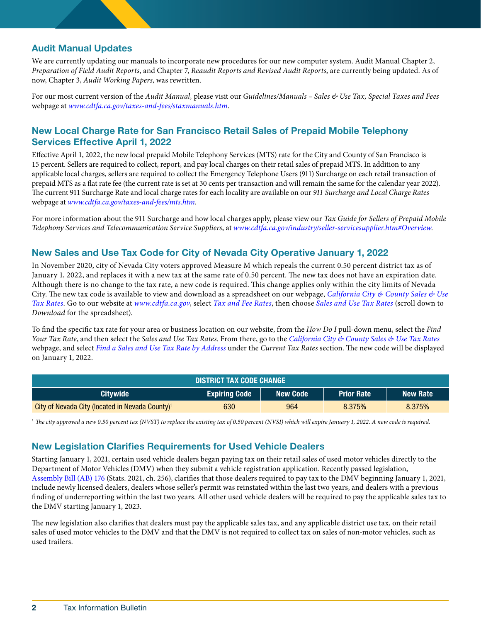### Audit Manual Updates

We are currently updating our manuals to incorporate new procedures for our new computer system. Audit Manual Chapter 2, *Preparation of Field Audit Reports*, and Chapter 7, *Reaudit Reports and Revised Audit Reports*, are currently being updated. As of now, Chapter 3, *Audit Working Papers*, was rewritten.

For our most current version of the *Audit Manual,* please visit our *Guidelines/Manuals – Sales & Use Tax, Special Taxes and Fees*  webpage at *[www.cdtfa.ca.gov/taxes-and-fees/staxmanuals.htm](http://www.cdtfa.ca.gov/taxes-and-fees/staxmanuals.htm)*.

# New Local Charge Rate for San Francisco Retail Sales of Prepaid Mobile Telephony Services Effective April 1, 2022

Efective April 1, 2022, the new local prepaid Mobile Telephony Services (MTS) rate for the City and County of San Francisco is 15 percent. Sellers are required to collect, report, and pay local charges on their retail sales of prepaid MTS. In addition to any applicable local charges, sellers are required to collect the Emergency Telephone Users (911) Surcharge on each retail transaction of prepaid MTS as a fat rate fee (the current rate is set at 30 cents per transaction and will remain the same for the calendar year 2022). Te current 911 Surcharge Rate and local charge rates for each locality are available on our *911 Surcharge and Local Charge Rates*  webpage at *[www.cdtfa.ca.gov/taxes-and-fees/mts.htm](http://www.cdtfa.ca.gov/taxes-and-fees/mts.htm)*.

For more information about the 911 Surcharge and how local charges apply, please view our *Tax Guide for Sellers of Prepaid Mobile Telephony Services and Telecommunication Service Suppliers*, at *[www.cdtfa.ca.gov/industry/seller-servicesupplier.htm#Overview](https://www.cdtfa.ca.gov/industry/seller-servicesupplier.htm#Overview)*.

#### New Sales and Use Tax Code for City of Nevada City Operative January 1, 2022

In November 2020, city of Nevada City voters approved Measure M which repeals the current 0.50 percent district tax as of January 1, 2022, and replaces it with a new tax at the same rate of 0.50 percent. The new tax does not have an expiration date. Although there is no change to the tax rate, a new code is required. This change applies only within the city limits of Nevada City. The new tax code is available to view and download as a spreadsheet on our webpage, *California City & County Sales & Use [Tax Rates](https://www.cdtfa.ca.gov/taxes-and-fees/sales-use-tax-rates.htm)*. Go to our website at *[www.cdtfa.ca.gov](http://www.cdtfa.ca.gov)*, select *[Tax and Fee Rates](https://www.cdtfa.ca.gov/taxes-and-fees/rates.htm)*, then choose *[Sales and Use Tax Rates](https://www.cdtfa.ca.gov/taxes-and-fees/sales-use-tax-rates.htm)* (scroll down to *Download* for the spreadsheet).

To fnd the specifc tax rate for your area or business location on our website, from the *How Do I* pull-down menu, select the *Find Your Tax Rate*, and then select the *Sales and Use Tax Rates*. From there, go to the *[California City & County Sales & Use Tax Rates](https://www.cdtfa.ca.gov/taxes-and-fees/sales-use-tax-rates.htm)*  webpage, and select *[Find a Sales and Use Tax Rate by Address](https://maps.cdtfa.ca.gov/)* under the *Current Tax Rates* section. The new code will be displayed on January 1, 2022.

| <b>DISTRICT TAX CODE CHANGE</b>                             |                      |                 |                   |          |
|-------------------------------------------------------------|----------------------|-----------------|-------------------|----------|
| <b>Citywide</b>                                             | <b>Expiring Code</b> | <b>New Code</b> | <b>Prior Rate</b> | New Rate |
| City of Nevada City (located in Nevada County) <sup>1</sup> | 630                  | 964             | 8.375%            | 8.375%   |

<sup>1</sup> The city approved a new 0.50 percent tax (NVST) to replace the existing tax of 0.50 percent (NVSI) which will expire January 1, 2022. A new code is required.

#### **New Legislation Clarifies Requirements for Used Vehicle Dealers**

Starting January 1, 2021, certain used vehicle dealers began paying tax on their retail sales of used motor vehicles directly to the Department of Motor Vehicles (DMV) when they submit a vehicle registration application. Recently passed legislation, [Assembly Bill \(AB\) 176](https://leginfo.legislature.ca.gov/faces/billNavClient.xhtml?bill_id=202120220AB176) (Stats. 2021, ch. 256), clarifes that those dealers required to pay tax to the DMV beginning January 1, 2021, include newly licensed dealers, dealers whose seller's permit was reinstated within the last two years, and dealers with a previous fnding of underreporting within the last two years. All other used vehicle dealers will be required to pay the applicable sales tax to the DMV starting January 1, 2023.

The new legislation also clarifies that dealers must pay the applicable sales tax, and any applicable district use tax, on their retail sales of used motor vehicles to the DMV and that the DMV is not required to collect tax on sales of non-motor vehicles, such as used trailers.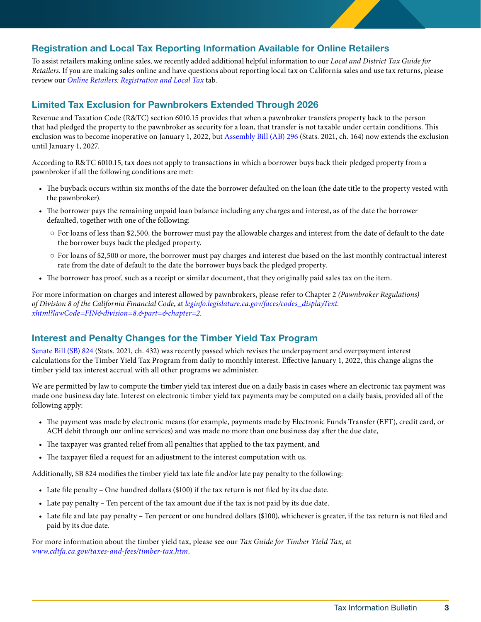#### Registration and Local Tax Reporting Information Available for Online Retailers

To assist retailers making online sales, we recently added additional helpful information to our *Local and District Tax Guide for Retailers*. If you are making sales online and have questions about reporting local tax on California sales and use tax returns, please review our *[Online Retailers: Registration and Local Tax](http://www.cdtfa.ca.gov/industry/localanddistricttaxes.htm#Online-Retailers)* tab.

#### Limited Tax Exclusion for Pawnbrokers Extended Through 2026

Revenue and Taxation Code (R&TC) section 6010.15 provides that when a pawnbroker transfers property back to the person that had pledged the property to the pawnbroker as security for a loan, that transfer is not taxable under certain conditions. This exclusion was to become inoperative on January 1, 2022, but [Assembly Bill \(AB\) 296](https://leginfo.legislature.ca.gov/faces/billTextClient.xhtml?bill_id=202120220AB296) (Stats. 2021, ch. 164) now extends the exclusion until January 1, 2027.

According to R&TC 6010.15, tax does not apply to transactions in which a borrower buys back their pledged property from a pawnbroker if all the following conditions are met:

- The buyback occurs within six months of the date the borrower defaulted on the loan (the date title to the property vested with the pawnbroker).
- The borrower pays the remaining unpaid loan balance including any charges and interest, as of the date the borrower defaulted, together with one of the following:
	- For loans of less than \$2,500, the borrower must pay the allowable charges and interest from the date of default to the date the borrower buys back the pledged property.
	- For loans of \$2,500 or more, the borrower must pay charges and interest due based on the last monthly contractual interest rate from the date of default to the date the borrower buys back the pledged property.
- The borrower has proof, such as a receipt or similar document, that they originally paid sales tax on the item.

For more information on charges and interest allowed by pawnbrokers, please refer to Chapter 2 *(Pawnbroker Regulations) of Division 8 of the California Financial Code*, at *[leginfo.legislature.ca.gov/faces/codes\\_displayText.](https://leginfo.legislature.ca.gov/faces/codes_displayText.xhtml?lawCode=FIN&division=8.&part=&chapter=2)  [xhtml?lawCode=FIN&division=8.&part=&chapter=2](https://leginfo.legislature.ca.gov/faces/codes_displayText.xhtml?lawCode=FIN&division=8.&part=&chapter=2)*.

#### Interest and Penalty Changes for the Timber Yield Tax Program

[Senate Bill \(SB\) 824](https://leginfo.legislature.ca.gov/faces/billNavClient.xhtml?bill_id=202120220SB824) (Stats. 2021, ch. 432) was recently passed which revises the underpayment and overpayment interest calculations for the Timber Yield Tax Program from daily to monthly interest. Efective January 1, 2022, this change aligns the timber yield tax interest accrual with all other programs we administer.

We are permitted by law to compute the timber yield tax interest due on a daily basis in cases where an electronic tax payment was made one business day late. Interest on electronic timber yield tax payments may be computed on a daily basis, provided all of the following apply:

- The payment was made by electronic means (for example, payments made by Electronic Funds Transfer (EFT), credit card, or ACH debit through our online services) and was made no more than one business day afer the due date,
- The taxpayer was granted relief from all penalties that applied to the tax payment, and
- The taxpayer filed a request for an adjustment to the interest computation with us.

Additionally, SB 824 modifes the timber yield tax late fle and/or late pay penalty to the following:

- Late fle penalty One hundred dollars (\$100) if the tax return is not fled by its due date.
- Late pay penalty Ten percent of the tax amount due if the tax is not paid by its due date.
- Late fle and late pay penalty Ten percent or one hundred dollars (\$100), whichever is greater, if the tax return is not fled and paid by its due date.

For more information about the timber yield tax, please see our *Tax Guide for Timber Yield Tax*, at *[www.cdtfa.ca.gov/taxes-and-fees/timber-tax.htm](https://www.cdtfa.ca.gov/taxes-and-fees/timber-tax.htm)*.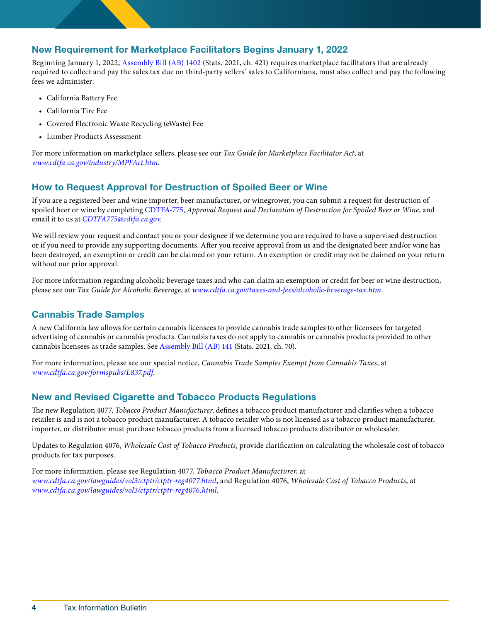#### New Requirement for Marketplace Facilitators Begins January 1, 2022

Beginning January 1, 2022, [Assembly Bill \(AB\) 1402](https://leginfo.legislature.ca.gov/faces/billTextClient.xhtml?bill_id=202120220AB1402) (Stats. 2021, ch. 421) requires marketplace facilitators that are already required to collect and pay the sales tax due on third-party sellers' sales to Californians, must also collect and pay the following fees we administer:

- California Battery Fee
- California Tire Fee
- Covered Electronic Waste Recycling (eWaste) Fee
- Lumber Products Assessment

For more information on marketplace sellers, please see our *Tax Guide for Marketplace Facilitator Act*, at *[www.cdtfa.ca.gov/industry/MPFAct.htm](https://www.cdtfa.ca.gov/industry/MPFAct.htm)*.

# How to Request Approval for Destruction of Spoiled Beer or Wine

If you are a registered beer and wine importer, beer manufacturer, or winegrower, you can submit a request for destruction of spoiled beer or wine by completing [CDTFA-775](https://www.cdtfa.ca.gov/formspubs/cdtfa775.pdf), *Approval Request and Declaration of Destruction for Spoiled Beer or Wine*, and email it to us at *[CDTFA775@cdtfa.ca.gov](mailto:CDTFA775@cdtfa.ca.gov)*.

We will review your request and contact you or your designee if we determine you are required to have a supervised destruction or if you need to provide any supporting documents. Afer you receive approval from us and the designated beer and/or wine has been destroyed, an exemption or credit can be claimed on your return. An exemption or credit may not be claimed on your return without our prior approval.

For more information regarding alcoholic beverage taxes and who can claim an exemption or credit for beer or wine destruction, please see our *Tax Guide for Alcoholic Beverage*, at *[www.cdtfa.ca.gov/taxes-and-fees/alcoholic-beverage-tax.htm](https://www.cdtfa.ca.gov/taxes-and-fees/alcoholic-beverage-tax.htm)*.

#### Cannabis Trade Samples

A new California law allows for certain cannabis licensees to provide cannabis trade samples to other licensees for targeted advertising of cannabis or cannabis products. Cannabis taxes do not apply to cannabis or cannabis products provided to other cannabis licensees as trade samples. See [Assembly Bill \(AB\) 141](https://leginfo.legislature.ca.gov/faces/billTextClient.xhtml?bill_id=202120220AB141) (Stats. 2021, ch. 70).

For more information, please see our special notice, *Cannabis Trade Samples Exempt from Cannabis Taxes*, at *[www.cdtfa.ca.gov/formspubs/L837.pdf](https://www.cdtfa.ca.gov/formspubs/L837.pdf)*.

# New and Revised Cigarette and Tobacco Products Regulations

The new Regulation 4077, *Tobacco Product Manufacturer*, defines a tobacco product manufacturer and clarifies when a tobacco retailer is and is not a tobacco product manufacturer. A tobacco retailer who is not licensed as a tobacco product manufacturer, importer, or distributor must purchase tobacco products from a licensed tobacco products distributor or wholesaler.

Updates to Regulation 4076, *Wholesale Cost of Tobacco Products*, provide clarifcation on calculating the wholesale cost of tobacco products for tax purposes.

For more information, please see Regulation 4077, *Tobacco Product Manufacturer*, at *[www.cdtfa.ca.gov/lawguides/vol3/ctptr/ctptr-reg4077.html](http://www.cdtfa.ca.gov/lawguides/vol3/ctptr/ctptr-reg4077.html)*, and Regulation 4076, *Wholesale Cost of Tobacco Products*, at *[www.cdtfa.ca.gov/lawguides/vol3/ctptr/ctptr-reg4076.html](https://www.cdtfa.ca.gov/lawguides/vol3/ctptr/ctptr-reg4076.html)*.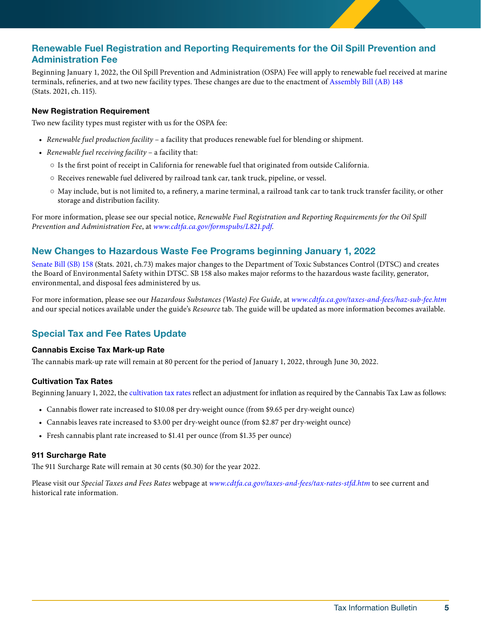# Renewable Fuel Registration and Reporting Requirements for the Oil Spill Prevention and Administration Fee

terminals, refineries, and at two new facility types. These changes are due to the enactment of Assembly Bill (AB) 148<br>(Stats. 2021, ch. 115). Beginning January 1, 2022, the Oil Spill Prevention and Administration (OSPA) Fee will apply to renewable fuel received at marine

#### New Registration Requirement

Two new facility types must register with us for the OSPA fee:

- *Renewable fuel production facility* a facility that produces renewable fuel for blending or shipment.
- *Renewable fuel receiving facility* a facility that:
	- Is the frst point of receipt in California for renewable fuel that originated from outside California.
	- Receives renewable fuel delivered by railroad tank car, tank truck, pipeline, or vessel.
	- May include, but is not limited to, a refnery, a marine terminal, a railroad tank car to tank truck transfer facility, or other storage and distribution facility.

For more information, please see our special notice, *Renewable Fuel Registration and Reporting Requirements for the Oil Spill Prevention and Administration Fee*, at *[www.cdtfa.ca.gov/formspubs/L821.pdf](https://www.cdtfa.ca.gov/formspubs/L821.pdf)*.

#### New Changes to Hazardous Waste Fee Programs beginning January 1, 2022

[Senate Bill \(SB\) 158](https://leginfo.legislature.ca.gov/faces/billTextClient.xhtml?bill_id=202120220SB158) (Stats. 2021, ch.73) makes major changes to the Department of Toxic Substances Control (DTSC) and creates the Board of Environmental Safety within DTSC. SB 158 also makes major reforms to the hazardous waste facility, generator, environmental, and disposal fees administered by us.

For more information, please see our *Hazardous Substances (Waste) Fee Guide*, at *[www.cdtfa.ca.gov/taxes-and-fees/haz-sub-fee.htm](https://www.cdtfa.ca.gov/taxes-and-fees/haz-sub-fee.htm)*  and our special notices available under the guide's *Resource* tab. The guide will be updated as more information becomes available.

# Special Tax and Fee Rates Update

#### Cannabis Excise Tax Mark-up Rate

The cannabis mark-up rate will remain at 80 percent for the period of January 1, 2022, through June 30, 2022.

#### Cultivation Tax Rates

Beginning January 1, 2022, the [cultivation tax rates](https://www.cdtfa.ca.gov/taxes-and-fees/tax-rates-stfd.htm#cannabis) refect an adjustment for infation as required by the Cannabis Tax Law as follows:

- Cannabis fower rate increased to \$10.08 per dry-weight ounce (from \$9.65 per dry-weight ounce)
- Cannabis leaves rate increased to \$3.00 per dry-weight ounce (from \$2.87 per dry-weight ounce)
- Fresh cannabis plant rate increased to \$1.41 per ounce (from \$1.35 per ounce)

#### 911 Surcharge Rate

The 911 Surcharge Rate will remain at 30 cents (\$0.30) for the year 2022.

Please visit our *Special Taxes and Fees Rates* webpage at *[www.cdtfa.ca.gov/taxes-and-fees/tax-rates-stfd.htm](https://www.cdtfa.ca.gov/taxes-and-fees/tax-rates-stfd.htm)* to see current and historical rate information.